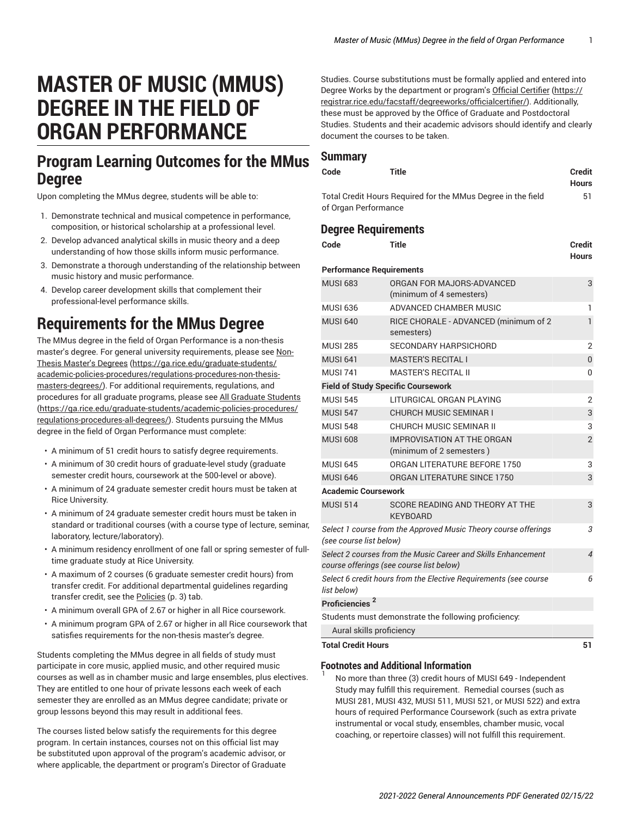# **MASTER OF MUSIC (MMUS) DEGREE IN THE FIELD OF ORGAN PERFORMANCE**

## **Program Learning Outcomes for the MMus Degree**

Upon completing the MMus degree, students will be able to:

- 1. Demonstrate technical and musical competence in performance, composition, or historical scholarship at a professional level.
- 2. Develop advanced analytical skills in music theory and a deep understanding of how those skills inform music performance.
- 3. Demonstrate a thorough understanding of the relationship between music history and music performance.
- 4. Develop career development skills that complement their professional-level performance skills.

## **Requirements for the MMus Degree**

The MMus degree in the field of Organ Performance is a non-thesis master's degree. For general university requirements, please see [Non-](https://ga.rice.edu/graduate-students/academic-policies-procedures/regulations-procedures-non-thesis-masters-degrees/)Thesis [Master's](https://ga.rice.edu/graduate-students/academic-policies-procedures/regulations-procedures-non-thesis-masters-degrees/) Degrees ([https://ga.rice.edu/graduate-students/](https://ga.rice.edu/graduate-students/academic-policies-procedures/regulations-procedures-non-thesis-masters-degrees/) [academic-policies-procedures/regulations-procedures-non-thesis](https://ga.rice.edu/graduate-students/academic-policies-procedures/regulations-procedures-non-thesis-masters-degrees/)[masters-degrees/\)](https://ga.rice.edu/graduate-students/academic-policies-procedures/regulations-procedures-non-thesis-masters-degrees/). For additional requirements, regulations, and procedures for all graduate programs, please see [All Graduate Students](https://ga.rice.edu/graduate-students/academic-policies-procedures/regulations-procedures-all-degrees/) ([https://ga.rice.edu/graduate-students/academic-policies-procedures/](https://ga.rice.edu/graduate-students/academic-policies-procedures/regulations-procedures-all-degrees/) [regulations-procedures-all-degrees/\)](https://ga.rice.edu/graduate-students/academic-policies-procedures/regulations-procedures-all-degrees/). Students pursuing the MMus degree in the field of Organ Performance must complete:

- A minimum of 51 credit hours to satisfy degree requirements.
- A minimum of 30 credit hours of graduate-level study (graduate semester credit hours, coursework at the 500-level or above).
- A minimum of 24 graduate semester credit hours must be taken at Rice University.
- A minimum of 24 graduate semester credit hours must be taken in standard or traditional courses (with a course type of lecture, seminar, laboratory, lecture/laboratory).
- A minimum residency enrollment of one fall or spring semester of fulltime graduate study at Rice University.
- A maximum of 2 courses (6 graduate semester credit hours) from transfer credit. For additional departmental guidelines regarding transfer credit, see the [Policies \(p. 3](#page-2-0)) tab.
- A minimum overall GPA of 2.67 or higher in all Rice coursework.
- A minimum program GPA of 2.67 or higher in all Rice coursework that satisfies requirements for the non-thesis master's degree.

Students completing the MMus degree in all fields of study must participate in core music, applied music, and other required music courses as well as in chamber music and large ensembles, plus electives. They are entitled to one hour of private lessons each week of each semester they are enrolled as an MMus degree candidate; private or group lessons beyond this may result in additional fees.

The courses listed below satisfy the requirements for this degree program. In certain instances, courses not on this official list may be substituted upon approval of the program's academic advisor, or where applicable, the department or program's Director of Graduate

Studies. Course substitutions must be formally applied and entered into Degree Works by the department or program's Official [Certifier \(https://](https://registrar.rice.edu/facstaff/degreeworks/officialcertifier/) [registrar.rice.edu/facstaff/degreeworks/officialcertifier/](https://registrar.rice.edu/facstaff/degreeworks/officialcertifier/)). Additionally, these must be approved by the Office of Graduate and Postdoctoral Studies. Students and their academic advisors should identify and clearly document the courses to be taken.

#### **Summary**

| Code                 | Title                                                        | <b>Credit</b> |
|----------------------|--------------------------------------------------------------|---------------|
|                      |                                                              | Hours         |
|                      | Total Credit Hours Required for the MMus Degree in the field | 51            |
| of Organ Performance |                                                              |               |

### **Degree Requirements**

| Code                                                                                       | <b>Title</b>                                                                                              | <b>Credit</b><br><b>Hours</b> |
|--------------------------------------------------------------------------------------------|-----------------------------------------------------------------------------------------------------------|-------------------------------|
| <b>Performance Requirements</b>                                                            |                                                                                                           |                               |
| <b>MUSI 683</b>                                                                            | ORGAN FOR MAJORS-ADVANCED<br>(minimum of 4 semesters)                                                     | 3                             |
| <b>MUSI 636</b>                                                                            | ADVANCED CHAMBER MUSIC                                                                                    | 1                             |
| <b>MUSI 640</b>                                                                            | RICE CHORALE - ADVANCED (minimum of 2<br>semesters)                                                       | 1                             |
| <b>MUSI 285</b>                                                                            | <b>SECONDARY HARPSICHORD</b>                                                                              | $\overline{2}$                |
| <b>MUSI 641</b>                                                                            | <b>MASTER'S RECITAL I</b>                                                                                 | 0                             |
| <b>MUSI 741</b>                                                                            | <b>MASTER'S RECITAL II</b>                                                                                | 0                             |
|                                                                                            | <b>Field of Study Specific Coursework</b>                                                                 |                               |
| <b>MUSI 545</b>                                                                            | LITURGICAL ORGAN PLAYING                                                                                  | $\overline{2}$                |
| <b>MUSI 547</b>                                                                            | <b>CHURCH MUSIC SEMINAR I</b>                                                                             | 3                             |
| <b>MUSI 548</b>                                                                            | CHURCH MUSIC SEMINAR II                                                                                   | 3                             |
| <b>MUSI 608</b>                                                                            | <b>IMPROVISATION AT THE ORGAN</b><br>(minimum of 2 semesters)                                             | $\overline{2}$                |
| <b>MUSI 645</b>                                                                            | ORGAN LITERATURE BEFORE 1750                                                                              | 3                             |
| <b>MUSI 646</b>                                                                            | ORGAN LITERATURE SINCE 1750                                                                               | 3                             |
| <b>Academic Coursework</b>                                                                 |                                                                                                           |                               |
| <b>MUSI 514</b>                                                                            | SCORE READING AND THEORY AT THE<br><b>KEYBOARD</b>                                                        | 3                             |
| Select 1 course from the Approved Music Theory course offerings<br>(see course list below) |                                                                                                           |                               |
|                                                                                            | Select 2 courses from the Music Career and Skills Enhancement<br>course offerings (see course list below) | $\overline{\mathcal{A}}$      |
| list below)                                                                                | Select 6 credit hours from the Elective Requirements (see course                                          | 6                             |
| Proficiencies <sup>2</sup>                                                                 |                                                                                                           |                               |
|                                                                                            | Students must demonstrate the following proficiency:                                                      |                               |
| Aural skills proficiency                                                                   |                                                                                                           |                               |
| <b>Total Credit Hours</b>                                                                  |                                                                                                           | 51                            |

#### **Footnotes and Additional Information**

1

No more than three (3) credit hours of MUSI 649 - Independent Study may fulfill this requirement. Remedial courses (such as MUSI 281, MUSI 432, MUSI 511, MUSI 521, or MUSI 522) and extra hours of required Performance Coursework (such as extra private instrumental or vocal study, ensembles, chamber music, vocal coaching, or repertoire classes) will not fulfill this requirement.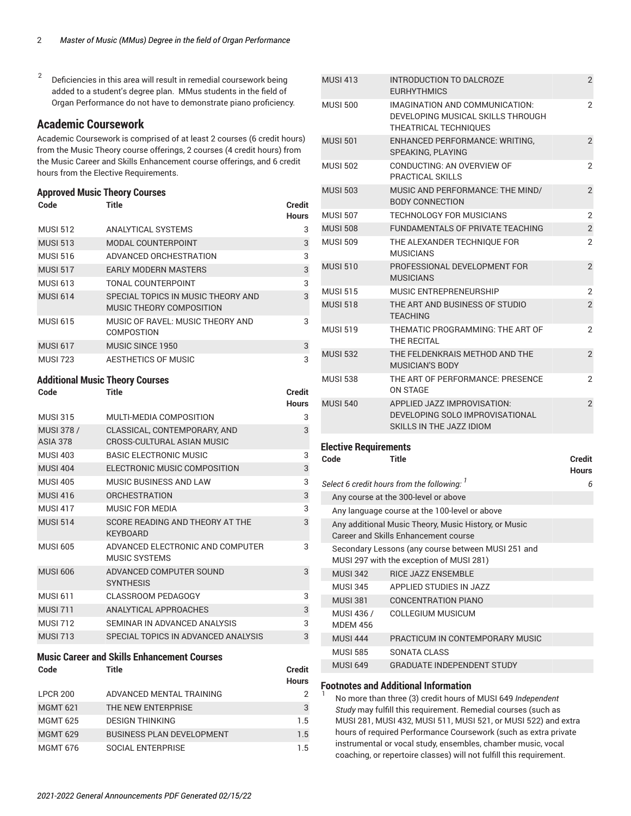2 Deficiencies in this area will result in remedial coursework being added to a student's degree plan. MMus students in the field of Organ Performance do not have to demonstrate piano proficiency.

### **Academic Coursework**

Academic Coursework is comprised of at least 2 courses (6 credit hours) from the Music Theory course offerings, 2 courses (4 credit hours) from the Music Career and Skills Enhancement course offerings, and 6 credit hours from the Elective Requirements.

#### **Approved Music Theory Courses**

| Code            | Title                                                          | Credit<br>Hours |
|-----------------|----------------------------------------------------------------|-----------------|
| <b>MUSI 512</b> | ANALYTICAL SYSTEMS                                             | 3               |
| <b>MUSI 513</b> | MODAL COUNTERPOINT                                             | 3               |
| <b>MUSI 516</b> | ADVANCED ORCHESTRATION                                         | 3               |
| <b>MUSI 517</b> | <b>EARLY MODERN MASTERS</b>                                    | 3               |
| <b>MUSI 613</b> | TONAL COUNTERPOINT                                             | 3               |
| <b>MUSI 614</b> | SPECIAL TOPICS IN MUSIC THEORY AND<br>MUSIC THEORY COMPOSITION | 3               |
| <b>MUSI 615</b> | MUSIC OF RAVEL: MUSIC THEORY AND<br><b>COMPOSTION</b>          | 3               |
| <b>MUSI 617</b> | MUSIC SINCE 1950                                               | 3               |
| <b>MUSI 723</b> | AESTHETICS OF MUSIC                                            | 3               |

**Code Title Credit**

#### **Additional Music Theory Courses**

|                                      |                                                            | <b>Hours</b> |
|--------------------------------------|------------------------------------------------------------|--------------|
| <b>MUSI 315</b>                      | MULTI-MEDIA COMPOSITION                                    | 3            |
| <b>MUSI 378 /</b><br><b>ASIA 378</b> | CLASSICAL, CONTEMPORARY, AND<br>CROSS-CULTURAL ASIAN MUSIC | 3            |
| <b>MUSI 403</b>                      | <b>BASIC ELECTRONIC MUSIC</b>                              | 3            |
| <b>MUSI 404</b>                      | ELECTRONIC MUSIC COMPOSITION                               | 3            |
| <b>MUSI 405</b>                      | MUSIC BUSINESS AND LAW                                     | 3            |
| <b>MUSI 416</b>                      | <b>ORCHESTRATION</b>                                       | 3            |
| <b>MUSI 417</b>                      | MUSIC FOR MEDIA                                            | 3            |
| <b>MUSI 514</b>                      | SCORE READING AND THEORY AT THE<br><b>KEYBOARD</b>         | 3            |
| <b>MUSI 605</b>                      | ADVANCED ELECTRONIC AND COMPUTER<br><b>MUSIC SYSTEMS</b>   | 3            |
| <b>MUSI 606</b>                      | ADVANCED COMPUTER SOUND<br><b>SYNTHESIS</b>                | 3            |
| <b>MUSI 611</b>                      | <b>CLASSROOM PEDAGOGY</b>                                  | 3            |
| <b>MUSI 711</b>                      | ANALYTICAL APPROACHES                                      | 3            |
| <b>MUSI 712</b>                      | SEMINAR IN ADVANCED ANALYSIS                               | 3            |
| <b>MUSI 713</b>                      | SPECIAL TOPICS IN ADVANCED ANALYSIS                        | 3            |

#### **Music Career and Skills Enhancement Courses**

| Title                            | <b>Credit</b><br><b>Hours</b> |
|----------------------------------|-------------------------------|
| ADVANCED MENTAL TRAINING         | 2                             |
| THE NEW ENTERPRISE               | 3                             |
| <b>DESIGN THINKING</b>           | 1.5                           |
| <b>BUSINESS PLAN DEVELOPMENT</b> | 1.5                           |
| SOCIAL ENTERPRISE                | 1.5                           |
|                                  |                               |

| <b>MUSI 413</b> | INTRODUCTION TO DALCROZE<br><b>EURHYTHMICS</b>                                               | $\overline{2}$ |
|-----------------|----------------------------------------------------------------------------------------------|----------------|
| <b>MUSI 500</b> | IMAGINATION AND COMMUNICATION:<br>DEVELOPING MUSICAL SKILLS THROUGH<br>THEATRICAL TECHNIQUES | $\overline{2}$ |
| <b>MUSI 501</b> | <b>ENHANCED PERFORMANCE: WRITING.</b><br>SPEAKING, PLAYING                                   | $\overline{2}$ |
| <b>MUSI 502</b> | CONDUCTING: AN OVERVIEW OF<br>PRACTICAL SKILLS                                               | $\overline{2}$ |
| <b>MUSI 503</b> | MUSIC AND PERFORMANCE: THE MIND/<br><b>BODY CONNECTION</b>                                   | $\overline{2}$ |
| <b>MUSI 507</b> | <b>TECHNOLOGY FOR MUSICIANS</b>                                                              | $\overline{2}$ |
| <b>MUSI 508</b> | FUNDAMENTALS OF PRIVATE TEACHING                                                             | $\overline{2}$ |
| <b>MUSI 509</b> | THE ALEXANDER TECHNIQUE FOR<br><b>MUSICIANS</b>                                              | $\overline{2}$ |
| <b>MUSI 510</b> | PROFESSIONAL DEVELOPMENT FOR<br><b>MUSICIANS</b>                                             | $\overline{2}$ |
| <b>MUSI 515</b> | MUSIC ENTREPRENEURSHIP                                                                       | $\overline{2}$ |
| <b>MUSI 518</b> | THE ART AND BUSINESS OF STUDIO<br><b>TEACHING</b>                                            | $\overline{2}$ |
| <b>MUSI 519</b> | THEMATIC PROGRAMMING: THE ART OF<br>THE RECITAL                                              | $\overline{2}$ |
| <b>MUSI 532</b> | THE FELDENKRAIS METHOD AND THE<br><b>MUSICIAN'S BODY</b>                                     | $\overline{2}$ |
| <b>MUSI 538</b> | THE ART OF PERFORMANCE: PRESENCE<br>ON STAGE                                                 | $\overline{2}$ |
| <b>MUSI 540</b> | APPLIED JAZZ IMPROVISATION:<br>DEVELOPING SOLO IMPROVISATIONAL<br>SKILLS IN THE JAZZ IDIOM   | $\overline{2}$ |
|                 |                                                                                              |                |

## **Elective Requirements**

| Code                          | Title                                                                                          | <b>Credit</b><br><b>Hours</b> |
|-------------------------------|------------------------------------------------------------------------------------------------|-------------------------------|
|                               | Select 6 credit hours from the following: $'$                                                  | 6                             |
|                               | Any course at the 300-level or above                                                           |                               |
|                               | Any language course at the 100-level or above                                                  |                               |
|                               | Any additional Music Theory, Music History, or Music<br>Career and Skills Enhancement course   |                               |
|                               | Secondary Lessons (any course between MUSI 251 and<br>MUSI 297 with the exception of MUSI 281) |                               |
| <b>MUSI 342</b>               | <b>RICE JAZZ ENSEMBLE</b>                                                                      |                               |
| <b>MUSI 345</b>               | APPLIED STUDIES IN JAZZ                                                                        |                               |
| <b>MUSI 381</b>               | <b>CONCENTRATION PIANO</b>                                                                     |                               |
| MUSI 436 /<br><b>MDFM 456</b> | COLLEGIUM MUSICUM                                                                              |                               |
| <b>MUSI 444</b>               | PRACTICUM IN CONTEMPORARY MUSIC                                                                |                               |
| <b>MUSI 585</b>               | SONATA CLASS                                                                                   |                               |
| <b>MUSI 649</b>               | <b>GRADUATE INDEPENDENT STUDY</b>                                                              |                               |

#### **Footnotes and Additional Information** 1

No more than three (3) credit hours of MUSI 649 *Independent Study* may fulfill this requirement. Remedial courses (such as MUSI 281, MUSI 432, MUSI 511, MUSI 521, or MUSI 522) and extra hours of required Performance Coursework (such as extra private instrumental or vocal study, ensembles, chamber music, vocal coaching, or repertoire classes) will not fulfill this requirement.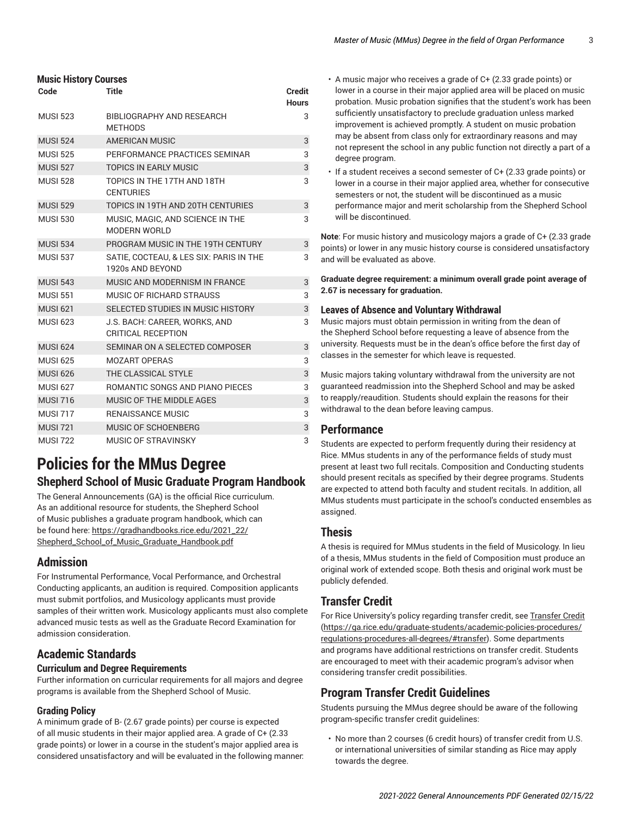| <b>Music History Courses</b> |                                                             |                               |  |
|------------------------------|-------------------------------------------------------------|-------------------------------|--|
| Code                         | <b>Title</b>                                                | <b>Credit</b><br><b>Hours</b> |  |
| <b>MUSI 523</b>              | BIBLIOGRAPHY AND RESEARCH<br><b>MFTHODS</b>                 | 3                             |  |
| <b>MUSI 524</b>              | <b>AMERICAN MUSIC</b>                                       | 3                             |  |
| <b>MUSI 525</b>              | PERFORMANCE PRACTICES SEMINAR                               | 3                             |  |
| <b>MUSI 527</b>              | <b>TOPICS IN EARLY MUSIC</b>                                | 3                             |  |
| <b>MUSI 528</b>              | TOPICS IN THE 17TH AND 18TH<br><b>CENTURIES</b>             | 3                             |  |
| <b>MUSI 529</b>              | TOPICS IN 19TH AND 20TH CENTURIES                           | 3                             |  |
| <b>MUSI 530</b>              | MUSIC, MAGIC, AND SCIENCE IN THE<br><b>MODERN WORLD</b>     | 3                             |  |
| <b>MUSI 534</b>              | PROGRAM MUSIC IN THE 19TH CENTURY                           | 3                             |  |
| <b>MUSI 537</b>              | SATIE, COCTEAU, & LES SIX: PARIS IN THE<br>1920s AND BEYOND | 3                             |  |
| <b>MUSI 543</b>              | MUSIC AND MODERNISM IN FRANCE                               | 3                             |  |
| <b>MUSI 551</b>              | MUSIC OF RICHARD STRAUSS                                    | 3                             |  |
| <b>MUSI 621</b>              | SELECTED STUDIES IN MUSIC HISTORY                           | 3                             |  |
| <b>MUSI 623</b>              | J.S. BACH: CAREER, WORKS, AND<br>CRITICAL RECEPTION         | 3                             |  |
| <b>MUSI 624</b>              | SEMINAR ON A SELECTED COMPOSER                              | 3                             |  |
| <b>MUSI 625</b>              | <b>MOZART OPERAS</b>                                        | 3                             |  |
| <b>MUSI 626</b>              | THE CLASSICAL STYLE                                         | 3                             |  |
| <b>MUSI 627</b>              | <b>ROMANTIC SONGS AND PIANO PIFCES</b>                      | 3                             |  |
| <b>MUSI 716</b>              | MUSIC OF THE MIDDLE AGES                                    | 3                             |  |
| <b>MUSI 717</b>              | <b>RENAISSANCE MUSIC</b>                                    | 3                             |  |
| <b>MUSI 721</b>              | MUSIC OF SCHOENBERG                                         | 3                             |  |
| <b>MUSI 722</b>              | MUSIC OF STRAVINSKY                                         | 3                             |  |

## <span id="page-2-0"></span>**Policies for the MMus Degree Shepherd School of Music Graduate Program Handbook**

The General Announcements (GA) is the official Rice curriculum. As an additional resource for students, the Shepherd School of Music publishes a graduate program handbook, which can be found here: [https://gradhandbooks.rice.edu/2021\\_22/](https://gradhandbooks.rice.edu/2021_22/Shepherd_School_of_Music_Graduate_Handbook.pdf) [Shepherd\\_School\\_of\\_Music\\_Graduate\\_Handbook.pdf](https://gradhandbooks.rice.edu/2021_22/Shepherd_School_of_Music_Graduate_Handbook.pdf)

## **Admission**

For Instrumental Performance, Vocal Performance, and Orchestral Conducting applicants, an audition is required. Composition applicants must submit portfolios, and Musicology applicants must provide samples of their written work. Musicology applicants must also complete advanced music tests as well as the Graduate Record Examination for admission consideration.

## **Academic Standards**

#### **Curriculum and Degree Requirements**

Further information on curricular requirements for all majors and degree programs is available from the Shepherd School of Music.

### **Grading Policy**

A minimum grade of B- (2.67 grade points) per course is expected of all music students in their major applied area. A grade of C+ (2.33 grade points) or lower in a course in the student's major applied area is considered unsatisfactory and will be evaluated in the following manner: • A music major who receives a grade of C+ (2.33 grade points) or lower in a course in their major applied area will be placed on music probation. Music probation signifies that the student's work has been sufficiently unsatisfactory to preclude graduation unless marked improvement is achieved promptly. A student on music probation may be absent from class only for extraordinary reasons and may not represent the school in any public function not directly a part of a degree program.

• If a student receives a second semester of C+ (2.33 grade points) or lower in a course in their major applied area, whether for consecutive semesters or not, the student will be discontinued as a music performance major and merit scholarship from the Shepherd School will be discontinued.

**Note**: For music history and musicology majors a grade of C+ (2.33 grade points) or lower in any music history course is considered unsatisfactory and will be evaluated as above.

**Graduate degree requirement: a minimum overall grade point average of 2.67 is necessary for graduation.**

#### **Leaves of Absence and Voluntary Withdrawal**

Music majors must obtain permission in writing from the dean of the Shepherd School before requesting a leave of absence from the university. Requests must be in the dean's office before the first day of classes in the semester for which leave is requested.

Music majors taking voluntary withdrawal from the university are not guaranteed readmission into the Shepherd School and may be asked to reapply/reaudition. Students should explain the reasons for their withdrawal to the dean before leaving campus.

### **Performance**

Students are expected to perform frequently during their residency at Rice. MMus students in any of the performance fields of study must present at least two full recitals. Composition and Conducting students should present recitals as specified by their degree programs. Students are expected to attend both faculty and student recitals. In addition, all MMus students must participate in the school's conducted ensembles as assigned.

## **Thesis**

A thesis is required for MMus students in the field of Musicology. In lieu of a thesis, MMus students in the field of Composition must produce an original work of extended scope. Both thesis and original work must be publicly defended.

## **Transfer Credit**

For Rice University's policy regarding transfer credit, see [Transfer](https://ga.rice.edu/graduate-students/academic-policies-procedures/regulations-procedures-all-degrees/#transfer) Credit [\(https://ga.rice.edu/graduate-students/academic-policies-procedures/](https://ga.rice.edu/graduate-students/academic-policies-procedures/regulations-procedures-all-degrees/#transfer) [regulations-procedures-all-degrees/#transfer](https://ga.rice.edu/graduate-students/academic-policies-procedures/regulations-procedures-all-degrees/#transfer)). Some departments and programs have additional restrictions on transfer credit. Students are encouraged to meet with their academic program's advisor when considering transfer credit possibilities.

## **Program Transfer Credit Guidelines**

Students pursuing the MMus degree should be aware of the following program-specific transfer credit guidelines:

• No more than 2 courses (6 credit hours) of transfer credit from U.S. or international universities of similar standing as Rice may apply towards the degree.